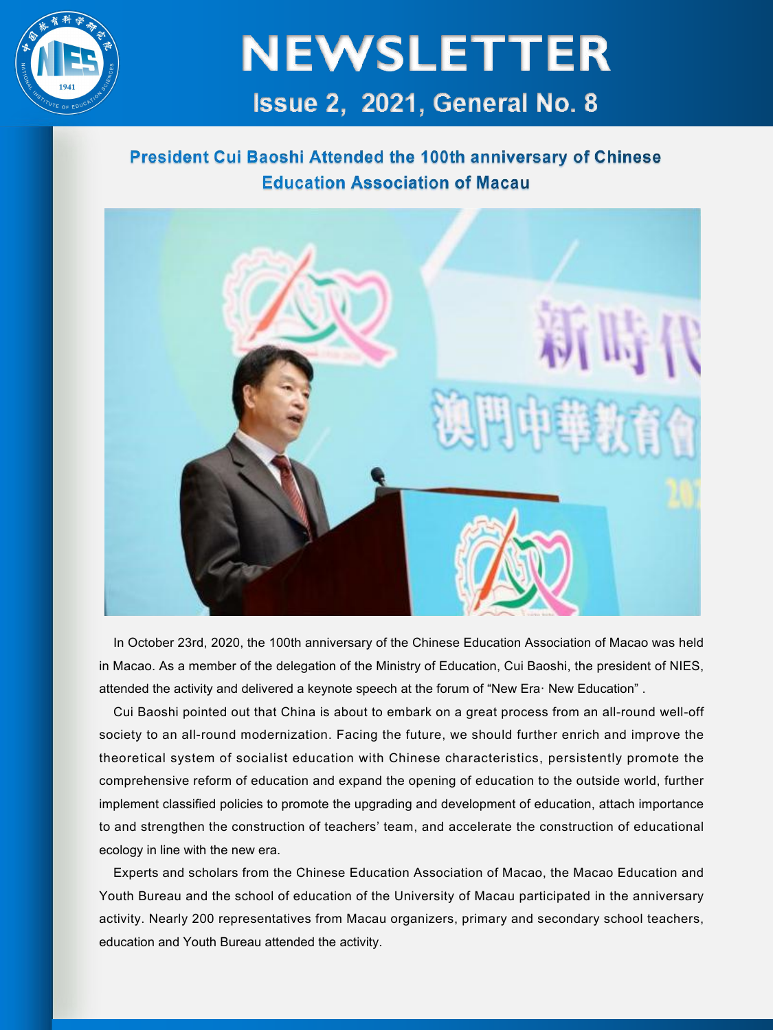

## **NEWSLETTER** Issue 2, 2021, General No. 8

#### President Cui Baoshi Attended the 100th anniversary of Chinese **Education Association of Macau**



In October 23rd, 2020, the 100th anniversary of the Chinese Education Association of Macao was held in Macao. As a member of the delegation of the Ministry of Education, Cui Baoshi, the president of NIES, attended the activity and delivered a keynote speech at the forum of "New Era· New Education" .

Cui Baoshi pointed out that China is about to embark on a great process from an all-round well-off society to an all-round modernization. Facing the future, we should further enrich and improve the theoretical system of socialist education with Chinese characteristics, persistently promote the comprehensive reform of education and expand the opening of education to the outside world, further implement classified policies to promote the upgrading and development of education, attach importance to and strengthen the construction of teachers' team, and accelerate the construction of educational ecology in line with the new era.

Experts and scholars from the Chinese Education Association of Macao, the Macao Education and Youth Bureau and the school of education of the University of Macau participated in the anniversary activity. Nearly 200 representatives from Macau organizers, primary and secondary school teachers, education and Youth Bureau attended the activity.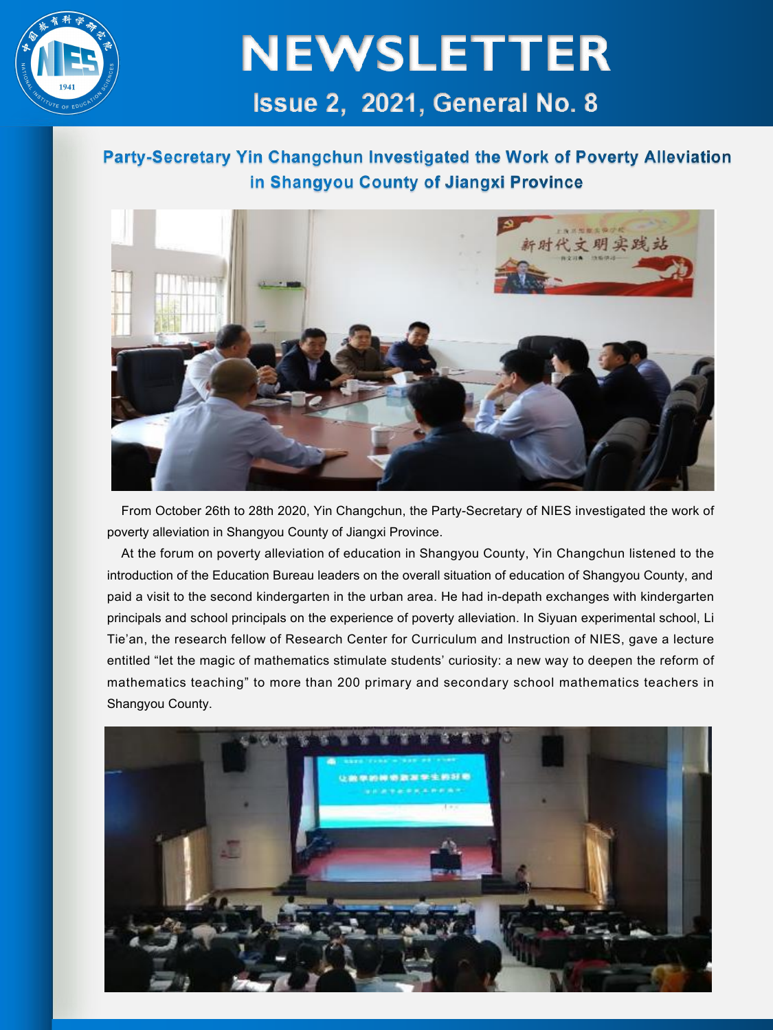

## **NEWSLETTER** Issue 2. 2021. General No. 8

#### Party-Secretary Yin Changchun Investigated the Work of Poverty Alleviation in Shangyou County of Jiangxi Province



From October 26th to 28th 2020, Yin Changchun, the Party-Secretary of NIES investigated the work of poverty alleviation in Shangyou County of Jiangxi Province.

At the forum on poverty alleviation of education in Shangyou County, Yin Changchun listened to the introduction of the Education Bureau leaders on the overall situation of education of Shangyou County, and paid a visit to the second kindergarten in the urban area. He had in-depath exchanges with kindergarten principals and school principals on the experience of poverty alleviation. In Siyuan experimental school, Li Tie'an, the research fellow of Research Center for Curriculum and Instruction of NIES, gave a lecture entitled "let the magic of mathematics stimulate students' curiosity: a new way to deepen the reform of mathematics teaching" to more than 200 primary and secondary school mathematics teachers in Shangyou County.

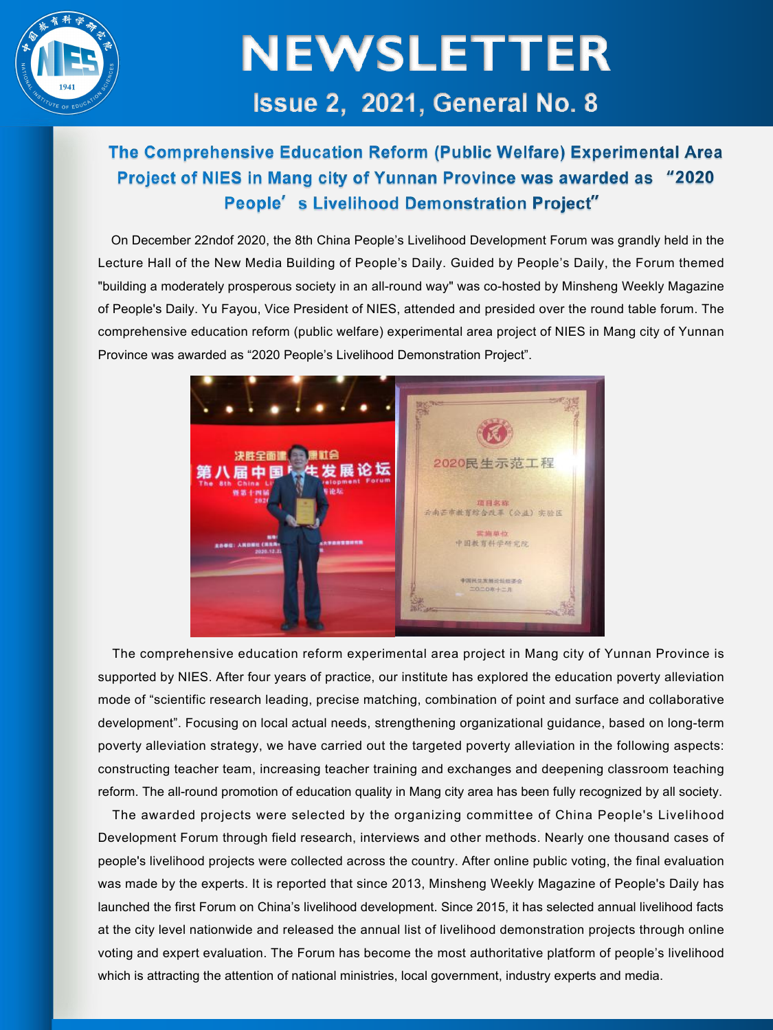

# **NEWSLETTER** Issue 2. 2021. General No. 8

#### The Comprehensive Education Reform (Public Welfare) Experimental Area Project of NIES in Mang city of Yunnan Province was awarded as "2020 People's Livelihood Demonstration Project"

On December 22ndof 2020, the 8th China People's Livelihood Development Forum was grandly held in the Lecture Hall of the New Media Building of People's Daily. Guided by People's Daily, the Forum themed "building a moderately prosperous society in an all-round way" was co-hosted by Minsheng Weekly Magazine of People's Daily. Yu Fayou, Vice President of NIES, attended and presided over the round table forum. The comprehensive education reform (public welfare) experimental area project of NIES in Mang city of Yunnan Province was awarded as "2020 People's Livelihood Demonstration Project".



The comprehensive education reform experimental area project in Mang city of Yunnan Province is supported by NIES. After four years of practice, our institute has explored the education poverty alleviation mode of "scientific research leading, precise matching, combination of point and surface and collaborative development". Focusing on local actual needs, strengthening organizational guidance, based on long-term poverty alleviation strategy, we have carried out the targeted poverty alleviation in the following aspects: constructing teacher team, increasing teacher training and exchanges and deepening classroom teaching reform. The all-round promotion of education quality in Mang city area has been fully recognized by all society.

The awarded projects were selected by the organizing committee of China People's Livelihood Development Forum through field research, interviews and other methods. Nearly one thousand cases of people's livelihood projects were collected across the country. After online public voting, the final evaluation was made by the experts. It is reported that since 2013, Minsheng Weekly Magazine of People's Daily has launched the first Forum on China's livelihood development. Since 2015, it has selected annual livelihood facts at the city level nationwide and released the annual list of livelihood demonstration projects through online voting and expert evaluation. The Forum has become the most authoritative platform of people's livelihood which is attracting the attention of national ministries, local government, industry experts and media.